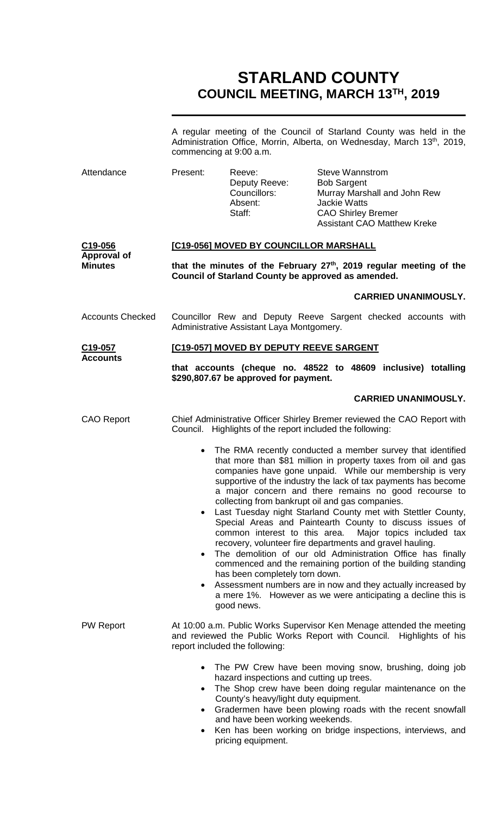# **STARLAND COUNTY COUNCIL MEETING, MARCH 13TH, 2019**

|                                                 | A regular meeting of the Council of Starland County was held in the<br>Administration Office, Morrin, Alberta, on Wednesday, March 13 <sup>th</sup> , 2019,<br>commencing at 9:00 a.m. |                                                                                                                                                                                                                                                                                                                                                                                                                                                                                                                                                                                                                                                                                                                                                                                                                                                                                                                               |  |
|-------------------------------------------------|----------------------------------------------------------------------------------------------------------------------------------------------------------------------------------------|-------------------------------------------------------------------------------------------------------------------------------------------------------------------------------------------------------------------------------------------------------------------------------------------------------------------------------------------------------------------------------------------------------------------------------------------------------------------------------------------------------------------------------------------------------------------------------------------------------------------------------------------------------------------------------------------------------------------------------------------------------------------------------------------------------------------------------------------------------------------------------------------------------------------------------|--|
| Attendance                                      | Present:<br>Reeve:<br>Deputy Reeve:<br>Councillors:<br>Absent:<br>Staff:                                                                                                               | <b>Steve Wannstrom</b><br><b>Bob Sargent</b><br>Murray Marshall and John Rew<br><b>Jackie Watts</b><br><b>CAO Shirley Bremer</b><br><b>Assistant CAO Matthew Kreke</b>                                                                                                                                                                                                                                                                                                                                                                                                                                                                                                                                                                                                                                                                                                                                                        |  |
| C19-056<br><b>Approval of</b><br><b>Minutes</b> | [C19-056] MOVED BY COUNCILLOR MARSHALL                                                                                                                                                 |                                                                                                                                                                                                                                                                                                                                                                                                                                                                                                                                                                                                                                                                                                                                                                                                                                                                                                                               |  |
|                                                 | that the minutes of the February 27 <sup>th</sup> , 2019 regular meeting of the<br>Council of Starland County be approved as amended.                                                  |                                                                                                                                                                                                                                                                                                                                                                                                                                                                                                                                                                                                                                                                                                                                                                                                                                                                                                                               |  |
|                                                 |                                                                                                                                                                                        | <b>CARRIED UNANIMOUSLY.</b>                                                                                                                                                                                                                                                                                                                                                                                                                                                                                                                                                                                                                                                                                                                                                                                                                                                                                                   |  |
| <b>Accounts Checked</b>                         | Councillor Rew and Deputy Reeve Sargent checked accounts with<br>Administrative Assistant Laya Montgomery.                                                                             |                                                                                                                                                                                                                                                                                                                                                                                                                                                                                                                                                                                                                                                                                                                                                                                                                                                                                                                               |  |
| C <sub>19</sub> -057<br><b>Accounts</b>         |                                                                                                                                                                                        | [C19-057] MOVED BY DEPUTY REEVE SARGENT                                                                                                                                                                                                                                                                                                                                                                                                                                                                                                                                                                                                                                                                                                                                                                                                                                                                                       |  |
|                                                 | \$290,807.67 be approved for payment.                                                                                                                                                  | that accounts (cheque no. 48522 to 48609 inclusive) totalling                                                                                                                                                                                                                                                                                                                                                                                                                                                                                                                                                                                                                                                                                                                                                                                                                                                                 |  |
|                                                 |                                                                                                                                                                                        | <b>CARRIED UNANIMOUSLY.</b>                                                                                                                                                                                                                                                                                                                                                                                                                                                                                                                                                                                                                                                                                                                                                                                                                                                                                                   |  |
| <b>CAO Report</b>                               |                                                                                                                                                                                        | Chief Administrative Officer Shirley Bremer reviewed the CAO Report with<br>Council. Highlights of the report included the following:                                                                                                                                                                                                                                                                                                                                                                                                                                                                                                                                                                                                                                                                                                                                                                                         |  |
|                                                 | $\bullet$<br>$\bullet$<br>$\bullet$<br>$\bullet$<br>good news.                                                                                                                         | The RMA recently conducted a member survey that identified<br>that more than \$81 million in property taxes from oil and gas<br>companies have gone unpaid. While our membership is very<br>supportive of the industry the lack of tax payments has become<br>a major concern and there remains no good recourse to<br>collecting from bankrupt oil and gas companies.<br>Last Tuesday night Starland County met with Stettler County,<br>Special Areas and Paintearth County to discuss issues of<br>common interest to this area.<br>Major topics included tax<br>recovery, volunteer fire departments and gravel hauling.<br>The demolition of our old Administration Office has finally<br>commenced and the remaining portion of the building standing<br>has been completely torn down.<br>Assessment numbers are in now and they actually increased by<br>a mere 1%. However as we were anticipating a decline this is |  |
| <b>PW Report</b>                                | report included the following:                                                                                                                                                         | At 10:00 a.m. Public Works Supervisor Ken Menage attended the meeting<br>and reviewed the Public Works Report with Council. Highlights of his                                                                                                                                                                                                                                                                                                                                                                                                                                                                                                                                                                                                                                                                                                                                                                                 |  |
|                                                 | $\bullet$<br>$\bullet$<br>$\bullet$<br>pricing equipment.                                                                                                                              | The PW Crew have been moving snow, brushing, doing job<br>hazard inspections and cutting up trees.<br>The Shop crew have been doing regular maintenance on the<br>County's heavy/light duty equipment.<br>Gradermen have been plowing roads with the recent snowfall<br>and have been working weekends.<br>Ken has been working on bridge inspections, interviews, and                                                                                                                                                                                                                                                                                                                                                                                                                                                                                                                                                        |  |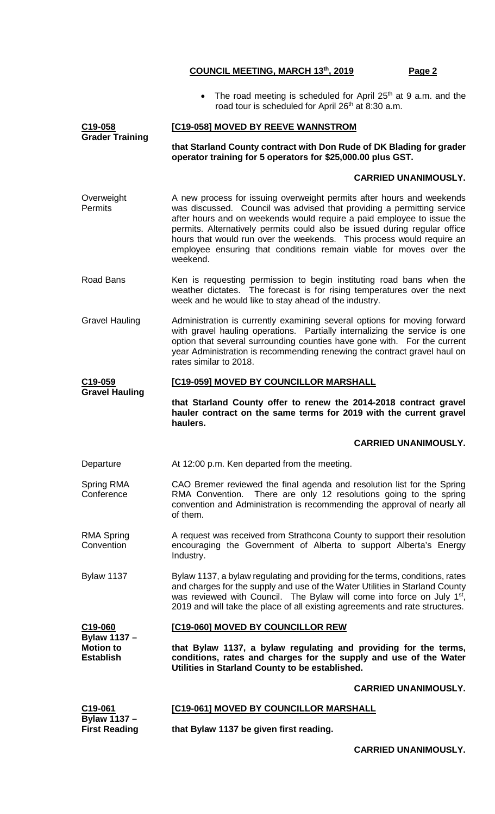• The road meeting is scheduled for April  $25<sup>th</sup>$  at 9 a.m. and the road tour is scheduled for April 26<sup>th</sup> at 8:30 a.m.

| C19-058                                                                             | [C19-058] MOVED BY REEVE WANNSTROM                                                                                                                                                                                                                                                                                                                                                                                                                                |  |  |
|-------------------------------------------------------------------------------------|-------------------------------------------------------------------------------------------------------------------------------------------------------------------------------------------------------------------------------------------------------------------------------------------------------------------------------------------------------------------------------------------------------------------------------------------------------------------|--|--|
| <b>Grader Training</b>                                                              | that Starland County contract with Don Rude of DK Blading for grader<br>operator training for 5 operators for \$25,000.00 plus GST.                                                                                                                                                                                                                                                                                                                               |  |  |
|                                                                                     | <b>CARRIED UNANIMOUSLY.</b>                                                                                                                                                                                                                                                                                                                                                                                                                                       |  |  |
| Overweight<br><b>Permits</b>                                                        | A new process for issuing overweight permits after hours and weekends<br>was discussed. Council was advised that providing a permitting service<br>after hours and on weekends would require a paid employee to issue the<br>permits. Alternatively permits could also be issued during regular office<br>hours that would run over the weekends. This process would require an<br>employee ensuring that conditions remain viable for moves over the<br>weekend. |  |  |
| Road Bans                                                                           | Ken is requesting permission to begin instituting road bans when the<br>weather dictates. The forecast is for rising temperatures over the next<br>week and he would like to stay ahead of the industry.                                                                                                                                                                                                                                                          |  |  |
| <b>Gravel Hauling</b>                                                               | Administration is currently examining several options for moving forward<br>with gravel hauling operations. Partially internalizing the service is one<br>option that several surrounding counties have gone with. For the current<br>year Administration is recommending renewing the contract gravel haul on<br>rates similar to 2018.                                                                                                                          |  |  |
| C <sub>19</sub> -059                                                                | [C19-059] MOVED BY COUNCILLOR MARSHALL                                                                                                                                                                                                                                                                                                                                                                                                                            |  |  |
| <b>Gravel Hauling</b>                                                               | that Starland County offer to renew the 2014-2018 contract gravel<br>hauler contract on the same terms for 2019 with the current gravel<br>haulers.                                                                                                                                                                                                                                                                                                               |  |  |
|                                                                                     | <b>CARRIED UNANIMOUSLY.</b>                                                                                                                                                                                                                                                                                                                                                                                                                                       |  |  |
| Departure                                                                           | At 12:00 p.m. Ken departed from the meeting.                                                                                                                                                                                                                                                                                                                                                                                                                      |  |  |
| Spring RMA<br>Conference                                                            | CAO Bremer reviewed the final agenda and resolution list for the Spring<br>RMA Convention. There are only 12 resolutions going to the spring<br>convention and Administration is recommending the approval of nearly all<br>of them.                                                                                                                                                                                                                              |  |  |
| <b>RMA Spring</b><br>Convention                                                     | A request was received from Strathcona County to support their resolution<br>encouraging the Government of Alberta to support Alberta's Energy<br>Industry.                                                                                                                                                                                                                                                                                                       |  |  |
| <b>Bylaw 1137</b>                                                                   | Bylaw 1137, a bylaw regulating and providing for the terms, conditions, rates<br>and charges for the supply and use of the Water Utilities in Starland County<br>was reviewed with Council. The Bylaw will come into force on July 1 <sup>st</sup> ,<br>2019 and will take the place of all existing agreements and rate structures.                                                                                                                              |  |  |
| C <sub>19</sub> -060<br><b>Bylaw 1137 -</b><br><b>Motion to</b><br><b>Establish</b> | [C19-060] MOVED BY COUNCILLOR REW                                                                                                                                                                                                                                                                                                                                                                                                                                 |  |  |
|                                                                                     | that Bylaw 1137, a bylaw regulating and providing for the terms,<br>conditions, rates and charges for the supply and use of the Water<br>Utilities in Starland County to be established.                                                                                                                                                                                                                                                                          |  |  |
|                                                                                     | <b>CARRIED UNANIMOUSLY.</b>                                                                                                                                                                                                                                                                                                                                                                                                                                       |  |  |
| C19-061                                                                             | [C19-061] MOVED BY COUNCILLOR MARSHALL                                                                                                                                                                                                                                                                                                                                                                                                                            |  |  |
| <b>Bylaw 1137 -</b><br><b>First Reading</b>                                         | that Bylaw 1137 be given first reading.                                                                                                                                                                                                                                                                                                                                                                                                                           |  |  |

**CARRIED UNANIMOUSLY.**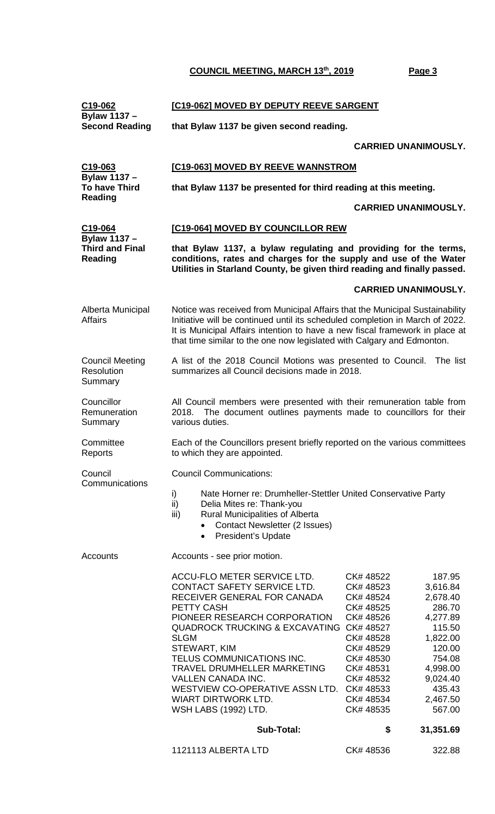| C19-062<br><b>Bylaw 1137 -</b>                                | [C19-062] MOVED BY DEPUTY REEVE SARGENT                                                                                                                                                                                                                                                                                                                                                                               |                                                                                                                                                          |                                                                                                                                                        |  |
|---------------------------------------------------------------|-----------------------------------------------------------------------------------------------------------------------------------------------------------------------------------------------------------------------------------------------------------------------------------------------------------------------------------------------------------------------------------------------------------------------|----------------------------------------------------------------------------------------------------------------------------------------------------------|--------------------------------------------------------------------------------------------------------------------------------------------------------|--|
| <b>Second Reading</b>                                         | that Bylaw 1137 be given second reading.                                                                                                                                                                                                                                                                                                                                                                              |                                                                                                                                                          |                                                                                                                                                        |  |
|                                                               |                                                                                                                                                                                                                                                                                                                                                                                                                       | <b>CARRIED UNANIMOUSLY.</b>                                                                                                                              |                                                                                                                                                        |  |
| C <sub>19</sub> -063                                          | <b>[C19-063] MOVED BY REEVE WANNSTROM</b>                                                                                                                                                                                                                                                                                                                                                                             |                                                                                                                                                          |                                                                                                                                                        |  |
| <b>Bylaw 1137 -</b><br><b>To have Third</b><br><b>Reading</b> | that Bylaw 1137 be presented for third reading at this meeting.                                                                                                                                                                                                                                                                                                                                                       |                                                                                                                                                          |                                                                                                                                                        |  |
|                                                               | <b>CARRIED UNANIMOUSLY.</b>                                                                                                                                                                                                                                                                                                                                                                                           |                                                                                                                                                          |                                                                                                                                                        |  |
|                                                               |                                                                                                                                                                                                                                                                                                                                                                                                                       |                                                                                                                                                          |                                                                                                                                                        |  |
| C19-064<br><b>Bylaw 1137 -</b>                                | [C19-064] MOVED BY COUNCILLOR REW                                                                                                                                                                                                                                                                                                                                                                                     |                                                                                                                                                          |                                                                                                                                                        |  |
| <b>Third and Final</b><br><b>Reading</b>                      | that Bylaw 1137, a bylaw regulating and providing for the terms,<br>conditions, rates and charges for the supply and use of the Water<br>Utilities in Starland County, be given third reading and finally passed.                                                                                                                                                                                                     |                                                                                                                                                          |                                                                                                                                                        |  |
|                                                               |                                                                                                                                                                                                                                                                                                                                                                                                                       | <b>CARRIED UNANIMOUSLY.</b>                                                                                                                              |                                                                                                                                                        |  |
| Alberta Municipal<br><b>Affairs</b>                           | Notice was received from Municipal Affairs that the Municipal Sustainability<br>Initiative will be continued until its scheduled completion in March of 2022.<br>It is Municipal Affairs intention to have a new fiscal framework in place at<br>that time similar to the one now legislated with Calgary and Edmonton.                                                                                               |                                                                                                                                                          |                                                                                                                                                        |  |
| <b>Council Meeting</b><br>Resolution<br>Summary               | A list of the 2018 Council Motions was presented to Council.<br>The list<br>summarizes all Council decisions made in 2018.                                                                                                                                                                                                                                                                                            |                                                                                                                                                          |                                                                                                                                                        |  |
| Councillor<br>Remuneration<br>Summary                         | All Council members were presented with their remuneration table from<br>The document outlines payments made to councillors for their<br>2018.<br>various duties.                                                                                                                                                                                                                                                     |                                                                                                                                                          |                                                                                                                                                        |  |
| Committee<br>Reports                                          | Each of the Councillors present briefly reported on the various committees<br>to which they are appointed.                                                                                                                                                                                                                                                                                                            |                                                                                                                                                          |                                                                                                                                                        |  |
| Council                                                       | <b>Council Communications:</b>                                                                                                                                                                                                                                                                                                                                                                                        |                                                                                                                                                          |                                                                                                                                                        |  |
| Communications                                                | i)<br>Nate Horner re: Drumheller-Stettler United Conservative Party<br>ii)<br>Delia Mites re: Thank-you<br>iii)<br><b>Rural Municipalities of Alberta</b><br>Contact Newsletter (2 Issues)<br><b>President's Update</b><br>$\bullet$                                                                                                                                                                                  |                                                                                                                                                          |                                                                                                                                                        |  |
| Accounts                                                      | Accounts - see prior motion.                                                                                                                                                                                                                                                                                                                                                                                          |                                                                                                                                                          |                                                                                                                                                        |  |
|                                                               | ACCU-FLO METER SERVICE LTD.<br>CONTACT SAFETY SERVICE LTD.<br>RECEIVER GENERAL FOR CANADA<br>PETTY CASH<br>PIONEER RESEARCH CORPORATION<br>QUADROCK TRUCKING & EXCAVATING CK# 48527<br><b>SLGM</b><br>STEWART, KIM<br>TELUS COMMUNICATIONS INC.<br>TRAVEL DRUMHELLER MARKETING<br><b>VALLEN CANADA INC.</b><br>WESTVIEW CO-OPERATIVE ASSN LTD. CK# 48533<br><b>WIART DIRTWORK LTD.</b><br><b>WSH LABS (1992) LTD.</b> | CK# 48522<br>CK# 48523<br>CK# 48524<br>CK# 48525<br>CK# 48526<br>CK# 48528<br>CK# 48529<br>CK# 48530<br>CK# 48531<br>CK# 48532<br>CK# 48534<br>CK# 48535 | 187.95<br>3,616.84<br>2,678.40<br>286.70<br>4,277.89<br>115.50<br>1,822.00<br>120.00<br>754.08<br>4,998.00<br>9,024.40<br>435.43<br>2,467.50<br>567.00 |  |
|                                                               | <b>Sub-Total:</b>                                                                                                                                                                                                                                                                                                                                                                                                     | \$                                                                                                                                                       | 31,351.69                                                                                                                                              |  |
|                                                               | 1121113 ALBERTA LTD                                                                                                                                                                                                                                                                                                                                                                                                   | CK# 48536                                                                                                                                                | 322.88                                                                                                                                                 |  |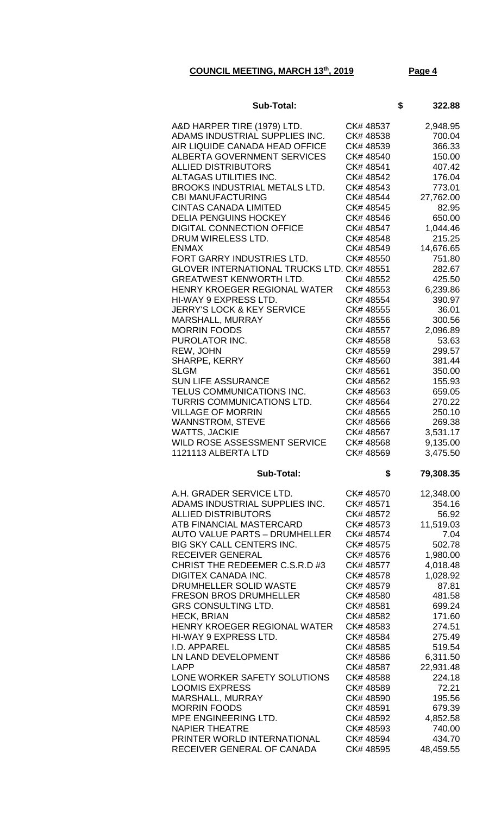|                                                      | Sub-Total:             |                  |  |
|------------------------------------------------------|------------------------|------------------|--|
| A&D HARPER TIRE (1979) LTD.                          | CK# 48537              | 2,948.95         |  |
| ADAMS INDUSTRIAL SUPPLIES INC.                       | CK#48538               | 700.04           |  |
| AIR LIQUIDE CANADA HEAD OFFICE                       | CK# 48539              | 366.33           |  |
| ALBERTA GOVERNMENT SERVICES                          | CK# 48540              | 150.00           |  |
| <b>ALLIED DISTRIBUTORS</b>                           | CK# 48541              |                  |  |
|                                                      |                        | 407.42           |  |
| ALTAGAS UTILITIES INC.                               | CK# 48542              | 176.04           |  |
| <b>BROOKS INDUSTRIAL METALS LTD.</b>                 | CK# 48543              | 773.01           |  |
| <b>CBI MANUFACTURING</b>                             | CK# 48544              | 27,762.00        |  |
| <b>CINTAS CANADA LIMITED</b>                         | CK# 48545              | 82.95            |  |
| <b>DELIA PENGUINS HOCKEY</b>                         | CK# 48546              | 650.00           |  |
| <b>DIGITAL CONNECTION OFFICE</b>                     | CK# 48547              | 1,044.46         |  |
| DRUM WIRELESS LTD.                                   | CK# 48548              | 215.25           |  |
| <b>ENMAX</b>                                         | CK# 48549              | 14,676.65        |  |
| FORT GARRY INDUSTRIES LTD.                           | CK# 48550              | 751.80           |  |
| GLOVER INTERNATIONAL TRUCKS LTD. CK# 48551           |                        | 282.67           |  |
| <b>GREATWEST KENWORTH LTD.</b>                       | CK# 48552              | 425.50           |  |
| HENRY KROEGER REGIONAL WATER                         | CK# 48553              | 6,239.86         |  |
| HI-WAY 9 EXPRESS LTD.                                | CK# 48554              | 390.97           |  |
| <b>JERRY'S LOCK &amp; KEY SERVICE</b>                | CK# 48555              | 36.01            |  |
| MARSHALL, MURRAY                                     | CK# 48556              | 300.56           |  |
| <b>MORRIN FOODS</b>                                  | CK# 48557              | 2,096.89         |  |
| PUROLATOR INC.                                       | CK# 48558              | 53.63            |  |
| REW, JOHN                                            | CK# 48559              | 299.57           |  |
| SHARPE, KERRY                                        | CK# 48560              | 381.44           |  |
| <b>SLGM</b>                                          | CK# 48561              | 350.00           |  |
| <b>SUN LIFE ASSURANCE</b>                            | CK# 48562              | 155.93           |  |
| TELUS COMMUNICATIONS INC.                            | CK#48563               | 659.05           |  |
| TURRIS COMMUNICATIONS LTD.                           | CK# 48564              | 270.22           |  |
| <b>VILLAGE OF MORRIN</b>                             | CK# 48565              | 250.10           |  |
| <b>WANNSTROM, STEVE</b>                              | CK# 48566              | 269.38           |  |
| <b>WATTS, JACKIE</b>                                 | CK# 48567              | 3,531.17         |  |
| WILD ROSE ASSESSMENT SERVICE                         | CK# 48568              | 9,135.00         |  |
| 1121113 ALBERTA LTD                                  | CK# 48569              | 3,475.50         |  |
| Sub-Total:                                           | \$                     | 79,308.35        |  |
| A.H. GRADER SERVICE LTD.                             | CK#48570               | 12,348.00        |  |
| ADAMS INDUSTRIAL SUPPLIES INC.                       | CK# 48571              | 354.16           |  |
|                                                      |                        |                  |  |
|                                                      |                        |                  |  |
| <b>ALLIED DISTRIBUTORS</b>                           | CK# 48572              | 56.92            |  |
| ATB FINANCIAL MASTERCARD                             | CK#48573               | 11,519.03        |  |
| <b>AUTO VALUE PARTS - DRUMHELLER</b>                 | CK# 48574              | 7.04             |  |
| <b>BIG SKY CALL CENTERS INC.</b>                     | CK# 48575              | 502.78           |  |
| RECEIVER GENERAL                                     | CK# 48576              | 1,980.00         |  |
| CHRIST THE REDEEMER C.S.R.D #3                       | CK# 48577              | 4,018.48         |  |
| <b>DIGITEX CANADA INC.</b>                           | CK# 48578              | 1,028.92         |  |
| DRUMHELLER SOLID WASTE                               | CK# 48579              | 87.81            |  |
| <b>FRESON BROS DRUMHELLER</b>                        | CK# 48580              | 481.58           |  |
| <b>GRS CONSULTING LTD.</b>                           | CK# 48581              | 699.24           |  |
| <b>HECK, BRIAN</b>                                   | CK# 48582              | 171.60           |  |
| HENRY KROEGER REGIONAL WATER                         | CK#48583               | 274.51           |  |
| HI-WAY 9 EXPRESS LTD.                                | CK# 48584              | 275.49           |  |
| I.D. APPAREL                                         | CK# 48585              | 519.54           |  |
| LN LAND DEVELOPMENT                                  | CK# 48586              | 6,311.50         |  |
| <b>LAPP</b>                                          | CK# 48587              | 22,931.48        |  |
| LONE WORKER SAFETY SOLUTIONS                         | CK# 48588              | 224.18           |  |
| <b>LOOMIS EXPRESS</b>                                | CK#48589               | 72.21            |  |
| MARSHALL, MURRAY                                     | CK# 48590              | 195.56           |  |
| <b>MORRIN FOODS</b>                                  | CK# 48591              | 679.39           |  |
| MPE ENGINEERING LTD.                                 | CK# 48592              | 4,852.58         |  |
| <b>NAPIER THEATRE</b><br>PRINTER WORLD INTERNATIONAL | CK# 48593<br>CK# 48594 | 740.00<br>434.70 |  |